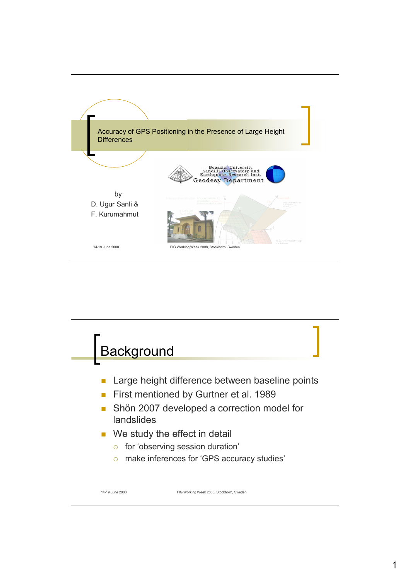

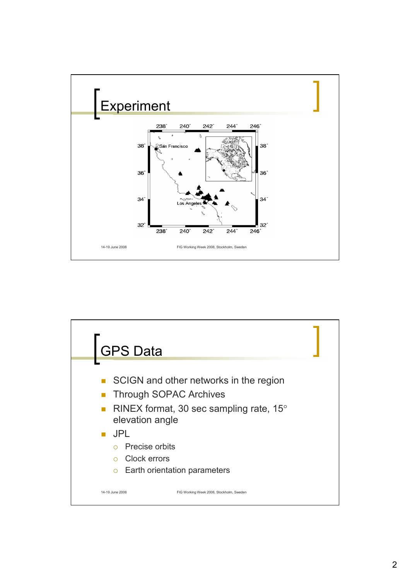

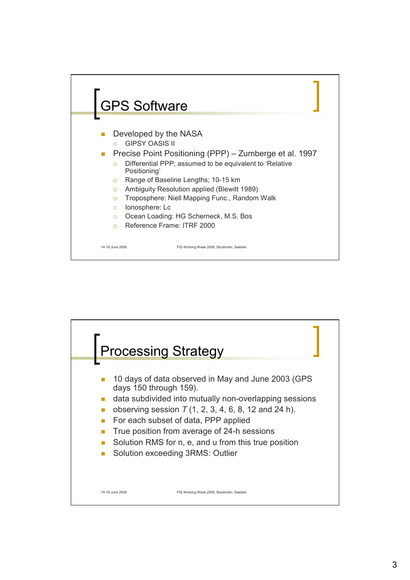

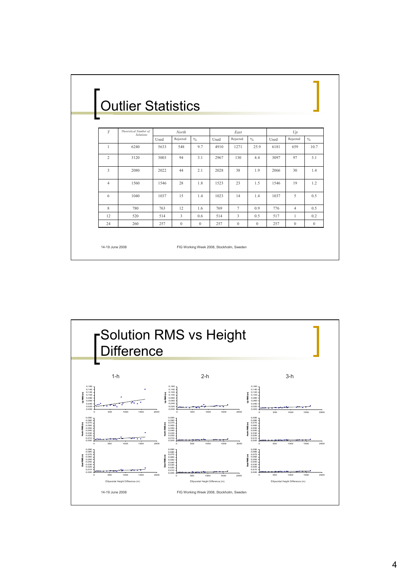| <b>Outlier Statistics</b> |                                           |       |              |               |      |              |               |      |                |               |
|---------------------------|-------------------------------------------|-------|--------------|---------------|------|--------------|---------------|------|----------------|---------------|
|                           |                                           |       |              |               |      |              |               |      |                |               |
| T                         | Theoretical Number of<br><b>Solutions</b> | North |              |               | East |              |               | Up   |                |               |
|                           |                                           | Used  | Rejected     | $\frac{0}{0}$ | Used | Rejected     | $\frac{0}{0}$ | Used | Rejected       | $\frac{0}{0}$ |
| $\overline{1}$            | 6240                                      | 5633  | 548          | 9.7           | 4910 | 1271         | 25.9          | 6181 | 659            | 10.7          |
| $\overline{2}$            | 3120                                      | 3003  | 94           | 3.1           | 2967 | 130          | 4.4           | 3097 | 97             | 3.1           |
| 3                         | 2080                                      | 2022  | 44           | 2.1           | 2028 | 38           | 1.9           | 2066 | 30             | 1.4           |
| $\overline{4}$            | 1560                                      | 1546  | 28           | 1.8           | 1523 | 23           | 1.5           | 1546 | 19             | 1.2           |
| 6                         | 1040                                      | 1037  | 15           | 14            | 1023 | 14           | 14            | 1037 | 5              | 0.5           |
| 8                         | 780                                       | 763   | 12           | 1.6           | 769  | $\tau$       | 0.9           | 776  | $\overline{4}$ | 0.5           |
| 12                        | 520                                       | 514   | 3            | 0.6           | 514  | 3            | 0.5           | 517  | $\mathbf{1}$   | 0.2           |
| 24                        | 260                                       | 257   | $\mathbf{0}$ | $\mathbf{0}$  | 257  | $\mathbf{0}$ | $\mathbf{0}$  | 257  | $\mathbf{0}$   |               |

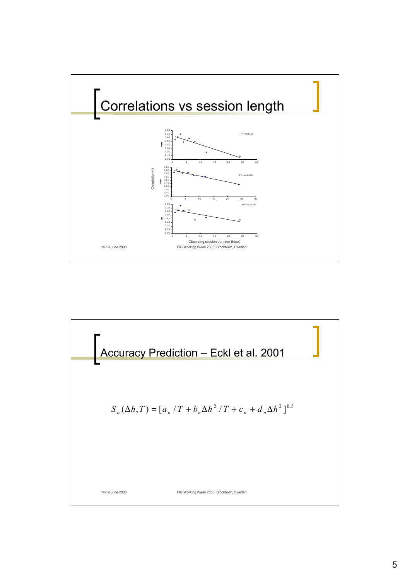

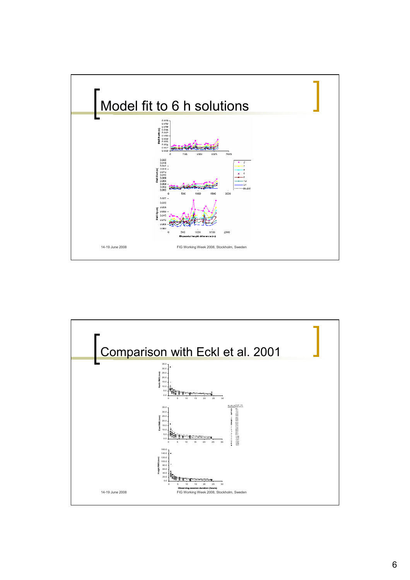

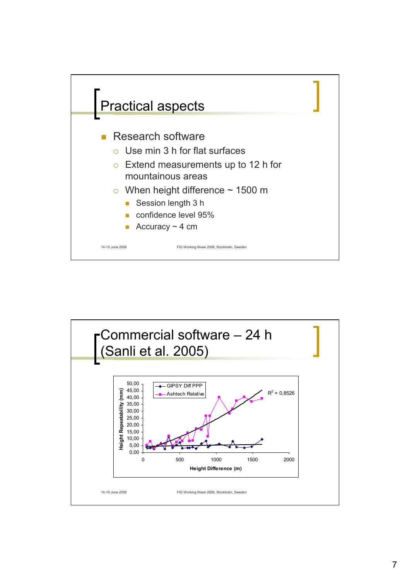